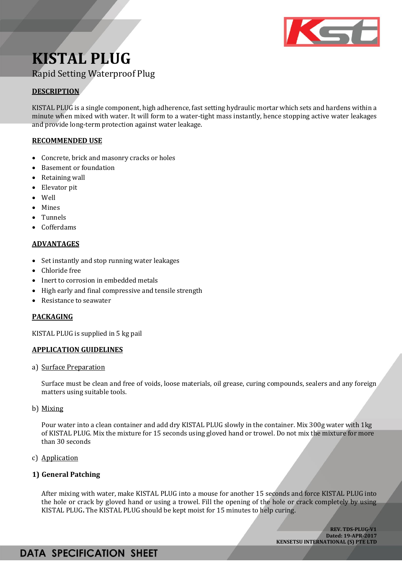

# **KISTAL PLUG** Rapid Setting Waterproof Plug

## **DESCRIPTION**

KISTAL PLUG is a single component, high adherence, fast setting hydraulic mortar which sets and hardens within a minute when mixed with water. It will form to a water-tight mass instantly, hence stopping active water leakages and provide long-term protection against water leakage.

## **RECOMMENDED USE**

- Concrete, brick and masonry cracks or holes
- **Basement or foundation**
- Retaining wall
- Elevator pit
- Well
- Mines
- Tunnels
- Cofferdams

### **ADVANTAGES**

- Set instantly and stop running water leakages
- Chloride free
- Inert to corrosion in embedded metals
- High early and final compressive and tensile strength
- Resistance to seawater

## **PACKAGING**

KISTAL PLUG is supplied in 5 kg pail

## **APPLICATION GUIDELINES**

a) Surface Preparation

Surface must be clean and free of voids, loose materials, oil grease, curing compounds, sealers and any foreign matters using suitable tools.

b) Mixing

Pour water into a clean container and add dry KISTAL PLUG slowly in the container. Mix 300g water with 1kg of KISTAL PLUG. Mix the mixture for 15 seconds using gloved hand or trowel. Do not mix the mixture for more than 30 seconds

c) Application

## **1) General Patching**

After mixing with water, make KISTAL PLUG into a mouse for another 15 seconds and force KISTAL PLUG into the hole or crack by gloved hand or using a trowel. Fill the opening of the hole or crack completely by using KISTAL PLUG**.** The KISTAL PLUG should be kept moist for 15 minutes to help curing.

> **REV. TDS-PLUG-V1 Dated: 19-APR-2017 KENSETSU INTERNATIONAL (S) PTE LTD**

## **DATA SPECIFICATION SHEET**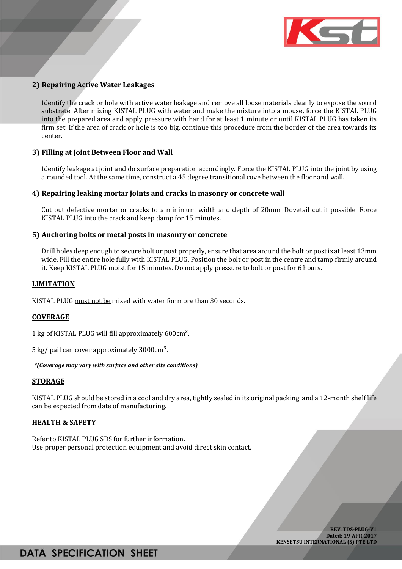

### **2) Repairing Active Water Leakages**

Identify the crack or hole with active water leakage and remove all loose materials cleanly to expose the sound substrate. After mixing KISTAL PLUG with water and make the mixture into a mouse, force the KISTAL PLUG into the prepared area and apply pressure with hand for at least 1 minute or until KISTAL PLUG has taken its firm set. If the area of crack or hole is too big, continue this procedure from the border of the area towards its center.

#### **3) Filling at Joint Between Floor and Wall**

Identify leakage at joint and do surface preparation accordingly. Force the KISTAL PLUG into the joint by using a rounded tool. At the same time, construct a 45 degree transitional cove between the floor and wall.

#### **4) Repairing leaking mortar joints and cracks in masonry or concrete wall**

Cut out defective mortar or cracks to a minimum width and depth of 20mm. Dovetail cut if possible. Force KISTAL PLUG into the crack and keep damp for 15 minutes.

#### **5) Anchoring bolts or metal posts in masonry or concrete**

Drill holes deep enough to secure bolt or post properly, ensure that area around the bolt or post is at least 13mm wide. Fill the entire hole fully with KISTAL PLUG. Position the bolt or post in the centre and tamp firmly around it. Keep KISTAL PLUG moist for 15 minutes. Do not apply pressure to bolt or post for 6 hours.

#### **LIMITATION**

KISTAL PLUG must not be mixed with water for more than 30 seconds.

#### **COVERAGE**

1 kg of KISTAL PLUG will fill approximately 600cm<sup>3</sup>.

5 kg/ pail can cover approximately  $3000 \text{cm}^3$ .

*\*(Coverage may vary with surface and other site conditions)*

#### **STORAGE**

KISTAL PLUG should be stored in a cool and dry area, tightly sealed in its original packing, and a 12-month shelf life can be expected from date of manufacturing.

#### **HEALTH & SAFETY**

Refer to KISTAL PLUG SDS for further information. Use proper personal protection equipment and avoid direct skin contact.

> **REV. TDS-PLUG-V1 Dated: 19-APR-2017 KENSETSU INTERNATIONAL (S) PTE LTD**

## **DATA SPECIFICATION SHEET**